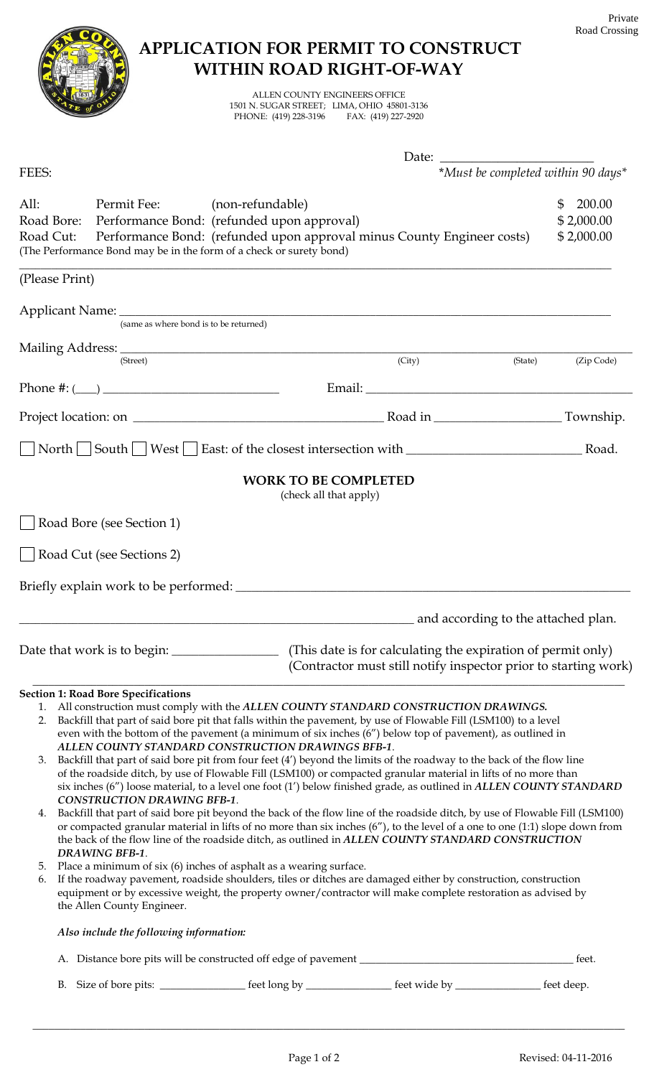# **APPLICATION FOR PERMIT TO CONSTRUCT WITHIN ROAD RIGHT-OF-WAY** ALLEN COUNTY ENGINEERS OFFICE 1501 N. SUGAR STREET; LIMA, OHIO 45801-3136 PHONE: (419) 228-3196 Date: FEES: \**Must be completed within 90 days\** All: Permit Fee: (non-refundable) \$ 200.00 Road Bore: Performance Bond: (refunded upon approval)  $$2,000.00$ Road Cut: Performance Bond: (refunded upon approval minus County Engineer costs) \$2,000.00 (The Performance Bond may be in the form of a check or surety bond)  $\_$  , and the set of the set of the set of the set of the set of the set of the set of the set of the set of the set of the set of the set of the set of the set of the set of the set of the set of the set of the set of th (Please Print) Applicant Name: (same as where bond is to be returned) Mailing Address: \_\_\_\_\_\_\_\_\_\_\_\_\_\_\_\_\_\_\_\_\_\_\_\_\_\_\_\_\_\_\_\_\_\_\_\_\_\_\_\_\_\_\_\_\_\_\_\_\_\_\_\_\_\_\_\_\_\_\_\_\_\_\_\_\_\_\_\_\_\_\_\_\_\_\_\_\_\_\_\_\_\_\_\_\_\_\_\_\_\_\_\_\_\_\_\_ (Street) (City) (State) (Zip Code) Phone #: (\_\_\_\_) \_\_\_\_\_\_\_\_\_\_\_\_\_\_\_\_\_\_\_\_\_\_\_\_\_\_\_\_\_\_\_\_\_ Email: \_\_\_\_\_\_\_\_\_\_\_\_\_\_\_\_\_\_\_\_\_\_\_\_\_\_\_\_\_\_\_\_\_\_\_\_\_\_\_\_\_\_\_\_\_\_\_\_\_\_ Project location: on \_\_\_\_\_\_\_\_\_\_\_\_\_\_\_\_\_\_\_\_\_\_\_\_\_\_\_\_\_\_\_\_\_\_\_\_\_\_\_\_\_\_\_\_\_\_\_ Road in \_\_\_\_\_\_\_\_\_\_\_\_\_\_\_\_\_\_\_\_\_\_\_\_ Township. North South West East: of the closest intersection with North Road. **WORK TO BE COMPLETED** (check all that apply) Road Bore (see Section 1) Road Cut (see Sections 2) Briefly explain work to be performed: \_\_\_\_\_\_\_\_\_\_\_\_\_\_\_\_\_\_\_\_\_\_\_\_\_\_\_\_\_\_\_\_\_\_\_\_\_\_\_\_\_\_\_\_\_\_\_\_\_\_\_\_\_\_\_\_\_\_\_\_\_\_\_\_\_\_\_\_\_\_\_\_\_\_ \_\_\_\_\_\_\_\_\_\_\_\_\_\_\_\_\_\_\_\_\_\_\_\_\_\_\_\_\_\_\_\_\_\_\_\_\_\_\_\_\_\_\_\_\_\_\_\_\_\_\_\_\_\_\_\_\_\_\_\_\_\_\_\_\_\_\_\_\_\_\_\_\_\_ and according to the attached plan. Date that work is to begin: \_\_\_\_\_\_\_\_\_\_\_\_\_\_\_\_\_\_\_\_\_\_\_\_ (This date is for calculating the expiration of permit only) (Contractor must still notify inspector prior to starting work)  $\mathcal{L} = \{ \mathcal{L} = \{ \mathcal{L} = \{ \mathcal{L} = \{ \mathcal{L} = \{ \mathcal{L} = \{ \mathcal{L} = \{ \mathcal{L} = \{ \mathcal{L} = \{ \mathcal{L} = \{ \mathcal{L} = \{ \mathcal{L} = \{ \mathcal{L} = \{ \mathcal{L} = \{ \mathcal{L} = \{ \mathcal{L} = \{ \mathcal{L} = \{ \mathcal{L} = \{ \mathcal{L} = \{ \mathcal{L} = \{ \mathcal{L} = \{ \mathcal{L} = \{ \mathcal{L} = \{ \mathcal{L} = \{ \mathcal{$ **Section 1: Road Bore Specifications** 1. All construction must comply with the *ALLEN COUNTY STANDARD CONSTRUCTION DRAWINGS.* 2. Backfill that part of said bore pit that falls within the pavement, by use of Flowable Fill (LSM100) to a level even with the bottom of the pavement (a minimum of six inches (6") below top of pavement), as outlined in *ALLEN COUNTY STANDARD CONSTRUCTION DRAWINGS BFB-1*. 3. Backfill that part of said bore pit from four feet (4') beyond the limits of the roadway to the back of the flow line of the roadside ditch, by use of Flowable Fill (LSM100) or compacted granular material in lifts of no more than six inches (6") loose material, to a level one foot (1') below finished grade, as outlined in *ALLEN COUNTY STANDARD CONSTRUCTION DRAWING BFB-1*. 4. Backfill that part of said bore pit beyond the back of the flow line of the roadside ditch, by use of Flowable Fill (LSM100) or compacted granular material in lifts of no more than six inches (6"), to the level of a one to one (1:1) slope down from the back of the flow line of the roadside ditch, as outlined in *ALLEN COUNTY STANDARD CONSTRUCTION DRAWING BFB-1*. 5. Place a minimum of six (6) inches of asphalt as a wearing surface. 6. If the roadway pavement, roadside shoulders, tiles or ditches are damaged either by construction, construction equipment or by excessive weight, the property owner/contractor will make complete restoration as advised by the Allen County Engineer. *Also include the following information:* A. Distance bore pits will be constructed off edge of pavement \_\_\_\_\_\_\_\_\_\_\_\_\_\_\_\_\_\_\_\_\_\_\_\_\_\_\_\_\_\_\_\_\_\_\_\_\_\_\_\_ feet. B. Size of bore pits: \_\_\_\_\_\_\_\_\_\_\_\_\_\_\_\_\_\_\_\_\_ feet long by \_\_\_\_\_\_\_\_\_\_\_\_\_\_\_\_\_\_\_\_\_\_\_ feet wide by \_\_\_\_\_\_\_\_\_\_\_\_\_\_\_\_\_\_\_\_\_\_\_ feet deep.

\_\_\_\_\_\_\_\_\_\_\_\_\_\_\_\_\_\_\_\_\_\_\_\_\_\_\_\_\_\_\_\_\_\_\_\_\_\_\_\_\_\_\_\_\_\_\_\_\_\_\_\_\_\_\_\_\_\_\_\_\_\_\_\_\_\_\_\_\_\_\_\_\_\_\_\_\_\_\_\_\_\_\_\_\_\_\_\_\_\_\_\_\_\_\_\_\_\_\_\_\_\_\_\_\_\_\_\_\_\_\_